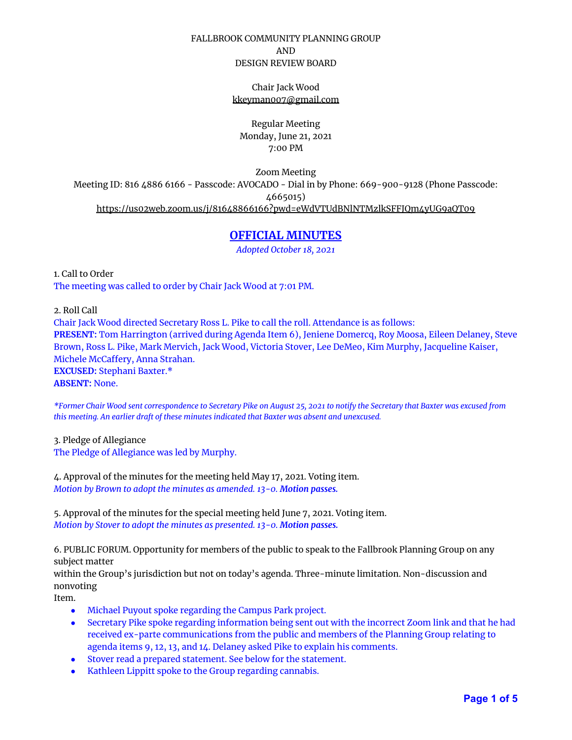## FALLBROOK COMMUNITY PLANNING GROUP AND DESIGN REVIEW BOARD

Chair Jack Wood [kkeyman007@gmail.com](mailto:kkeyman007@gmail.com)

Regular Meeting Monday, June 21, 2021 7:00 PM

Zoom Meeting Meeting ID: 816 4886 6166 - Passcode: AVOCADO - Dial in by Phone: 669-900-9128 (Phone Passcode: 4665015) <https://us02web.zoom.us/j/81648866166?pwd=eWdVTUdBNlNTMzlkSFFJQm4yUG9aQT09>

# **OFFICIAL MINUTES**

*Adopted October 18, 2021*

1. Call to Order The meeting was called to order by Chair Jack Wood at 7:01 PM.

2. Roll Call

Chair Jack Wood directed Secretary Ross L. Pike to call the roll. Attendance is as follows: **PRESENT:** Tom Harrington (arrived during Agenda Item 6), Jeniene Domercq, Roy Moosa, Eileen Delaney, Steve Brown, Ross L. Pike, Mark Mervich, Jack Wood, Victoria Stover, Lee DeMeo, Kim Murphy, Jacqueline Kaiser, Michele McCaffery, Anna Strahan. **EXCUSED:** Stephani Baxter.\* **ABSENT:** None.

\*Former Chair Wood sent correspondence to Secretary Pike on August 25, 2021 to notify the Secretary that Baxter was excused from *this meeting. An earlier draft of these minutes indicated that Baxter was absent and unexcused.*

3. Pledge of Allegiance The Pledge of Allegiance was led by Murphy.

4. Approval of the minutes for the meeting held May 17, 2021. Voting item. *Motion by Brown to adopt the minutes as amended. 13-0. Motion passes.*

5. Approval of the minutes for the special meeting held June 7, 2021. Voting item. *Motion by Stover to adopt the minutes as presented. 13-0. Motion passes.*

6. PUBLIC FORUM. Opportunity for members of the public to speak to the Fallbrook Planning Group on any subject matter

within the Group's jurisdiction but not on today's agenda. Three-minute limitation. Non-discussion and nonvoting

Item.

- Michael Puyout spoke regarding the Campus Park project.
- Secretary Pike spoke regarding information being sent out with the incorrect Zoom link and that he had received ex-parte communications from the public and members of the Planning Group relating to agenda items 9, 12, 13, and 14. Delaney asked Pike to explain his comments.
- Stover read a prepared statement. See below for the statement.
- Kathleen Lippitt spoke to the Group regarding cannabis.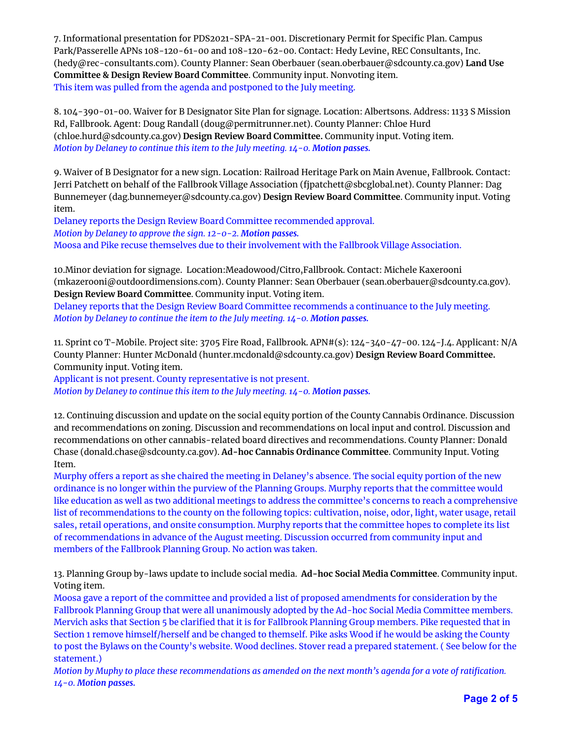7. Informational presentation for PDS2021-SPA-21-001. Discretionary Permit for Specific Plan. Campus Park/Passerelle APNs 108-120-61-00 and 108-120-62-00. Contact: Hedy Levine, REC Consultants, Inc. (hedy@rec-consultants.com). County Planner: Sean Oberbauer (sean.oberbauer@sdcounty.ca.gov) **Land Use Committee & Design Review Board Committee**. Community input. Nonvoting item. This item was pulled from the agenda and postponed to the July meeting.

8. 104-390-01-00. Waiver for B Designator Site Plan for signage. Location: Albertsons. Address: 1133 S Mission Rd, Fallbrook. Agent: Doug Randall (doug@permitrunner.net). County Planner: Chloe Hurd (chloe.hurd@sdcounty.ca.gov) **Design Review Board Committee.** Community input. Voting item. *Motion by Delaney to continue this item to the July meeting. 14-0. Motion passes.*

9. Waiver of B Designator for a new sign. Location: Railroad Heritage Park on Main Avenue, Fallbrook. Contact: Jerri Patchett on behalf of the Fallbrook Village Association (fjpatchett@sbcglobal.net). County Planner: Dag Bunnemeyer (dag.bunnemeyer@sdcounty.ca.gov) **Design Review Board Committee**. Community input. Voting item.

Delaney reports the Design Review Board Committee recommended approval. *Motion by Delaney to approve the sign. 12-0-2. Motion passes.*

Moosa and Pike recuse themselves due to their involvement with the Fallbrook Village Association.

10.Minor deviation for signage. Location:Meadowood/Citro,Fallbrook. Contact: Michele Kaxerooni (mkazerooni@outdoordimensions.com). County Planner: Sean Oberbauer (sean.oberbauer@sdcounty.ca.gov). **Design Review Board Committee**. Community input. Voting item.

Delaney reports that the Design Review Board Committee recommends a continuance to the July meeting. *Motion by Delaney to continue the item to the July meeting. 14-0. Motion passes.*

11. Sprint co T-Mobile. Project site: 3705 Fire Road, Fallbrook. APN#(s): 124-340-47-00. 124-J.4. Applicant: N/A County Planner: Hunter McDonald (hunter.mcdonald@sdcounty.ca.gov) **Design Review Board Committee.** Community input. Voting item.

Applicant is not present. County representative is not present. *Motion by Delaney to continue this item to the July meeting. 14-0. Motion passes.*

12. Continuing discussion and update on the social equity portion of the County Cannabis Ordinance. Discussion and recommendations on zoning. Discussion and recommendations on local input and control. Discussion and recommendations on other cannabis-related board directives and recommendations. County Planner: Donald Chase (donald.chase@sdcounty.ca.gov). **Ad-hoc Cannabis Ordinance Committee**. Community Input. Voting Item.

Murphy offers a report as she chaired the meeting in Delaney's absence. The social equity portion of the new ordinance is no longer within the purview of the Planning Groups. Murphy reports that the committee would like education as well as two additional meetings to address the committee's concerns to reach a comprehensive list of recommendations to the county on the following topics: cultivation, noise, odor, light, water usage, retail sales, retail operations, and onsite consumption. Murphy reports that the committee hopes to complete its list of recommendations in advance of the August meeting. Discussion occurred from community input and members of the Fallbrook Planning Group. No action was taken.

13. Planning Group by-laws update to include social media. **Ad-hoc Social Media Committee**. Community input. Voting item.

Moosa gave a report of the committee and provided a list of proposed amendments for consideration by the Fallbrook Planning Group that were all unanimously adopted by the Ad-hoc Social Media Committee members. Mervich asks that Section 5 be clarified that it is for Fallbrook Planning Group members. Pike requested that in Section 1 remove himself/herself and be changed to themself. Pike asks Wood if he would be asking the County to post the Bylaws on the County's website. Wood declines. Stover read a prepared statement. ( See below for the statement.)

Motion by Muphy to place these recommendations as amended on the next month's agenda for a vote of ratification. *14-0. Motion passes.*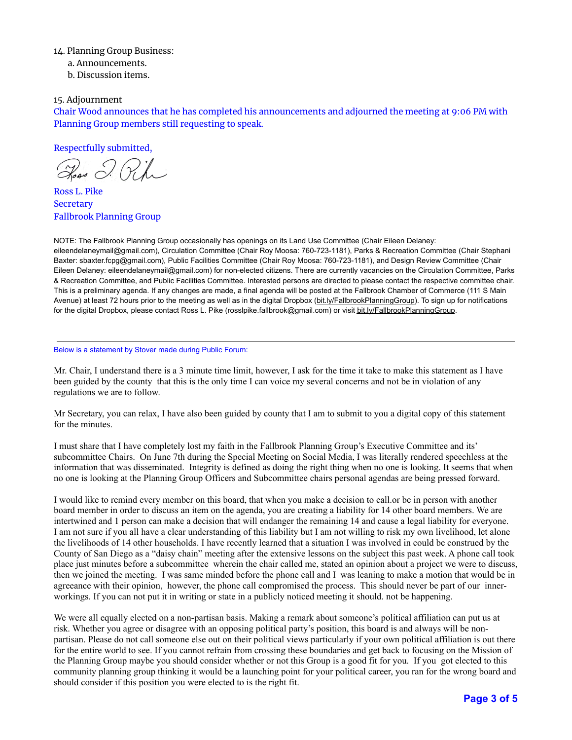### 14. Planning Group Business:

a. Announcements.

b. Discussion items.

### 15. Adjournment

Chair Wood announces that he has completed his announcements and adjourned the meeting at 9:06 PM with Planning Group members still requesting to speak.

Respectfully submitted,

Ross L. Pike **Secretary** Fallbrook Planning Group

NOTE: The Fallbrook Planning Group occasionally has openings on its Land Use Committee (Chair Eileen Delaney:

eileendelaneymail@gmail.com), Circulation Committee (Chair Roy Moosa: 760-723-1181), Parks & Recreation Committee (Chair Stephani Baxter: sbaxter.fcpg@gmail.com), Public Facilities Committee (Chair Roy Moosa: 760-723-1181), and Design Review Committee (Chair Eileen Delaney: eileendelaneymail@gmail.com) for non-elected citizens. There are currently vacancies on the Circulation Committee, Parks & Recreation Committee, and Public Facilities Committee. Interested persons are directed to please contact the respective committee chair. This is a preliminary agenda. If any changes are made, a final agenda will be posted at the Fallbrook Chamber of Commerce (111 S Main Avenue) at least 72 hours prior to the meeting as well as in the digital Dropbox [\(bit.ly/FallbrookPlanningGroup\)](http://bit.ly/FallbrookPlanningGroup). To sign up for notifications for the digital Dropbox, please contact Ross L. Pike (rosslpike.fallbrook@gmail.com) or visit [bit.ly/FallbrookPlanningGroup](http://bit.ly/FallbrookPlanningGroup).

#### Below is a statement by Stover made during Public Forum:

Mr. Chair, I understand there is a 3 minute time limit, however, I ask for the time it take to make this statement as I have been guided by the county that this is the only time I can voice my several concerns and not be in violation of any regulations we are to follow.

Mr Secretary, you can relax, I have also been guided by county that I am to submit to you a digital copy of this statement for the minutes.

I must share that I have completely lost my faith in the Fallbrook Planning Group's Executive Committee and its' subcommittee Chairs. On June 7th during the Special Meeting on Social Media, I was literally rendered speechless at the information that was disseminated. Integrity is defined as doing the right thing when no one is looking. It seems that when no one is looking at the Planning Group Officers and Subcommittee chairs personal agendas are being pressed forward.

I would like to remind every member on this board, that when you make a decision to call.or be in person with another board member in order to discuss an item on the agenda, you are creating a liability for 14 other board members. We are intertwined and 1 person can make a decision that will endanger the remaining 14 and cause a legal liability for everyone. I am not sure if you all have a clear understanding of this liability but I am not willing to risk my own livelihood, let alone the livelihoods of 14 other households. I have recently learned that a situation I was involved in could be construed by the County of San Diego as a "daisy chain" meeting after the extensive lessons on the subject this past week. A phone call took place just minutes before a subcommittee wherein the chair called me, stated an opinion about a project we were to discuss, then we joined the meeting. I was same minded before the phone call and I was leaning to make a motion that would be in agreeance with their opinion, however, the phone call compromised the process. This should never be part of our innerworkings. If you can not put it in writing or state in a publicly noticed meeting it should. not be happening.

We were all equally elected on a non-partisan basis. Making a remark about someone's political affiliation can put us at risk. Whether you agree or disagree with an opposing political party's position, this board is and always will be nonpartisan. Please do not call someone else out on their political views particularly if your own political affiliation is out there for the entire world to see. If you cannot refrain from crossing these boundaries and get back to focusing on the Mission of the Planning Group maybe you should consider whether or not this Group is a good fit for you. If you got elected to this community planning group thinking it would be a launching point for your political career, you ran for the wrong board and should consider if this position you were elected to is the right fit.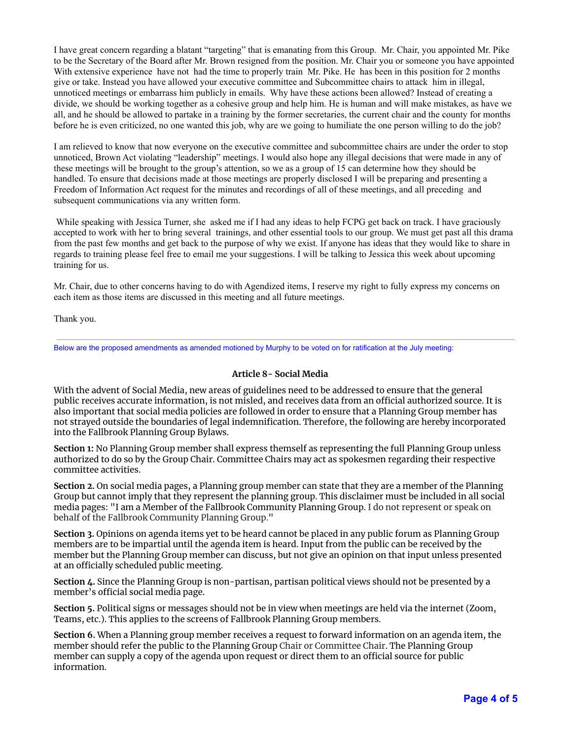I have great concern regarding a blatant "targeting" that is emanating from this Group. Mr. Chair, you appointed Mr. Pike to be the Secretary of the Board after Mr. Brown resigned from the position. Mr. Chair you or someone you have appointed With extensive experience have not had the time to properly train Mr. Pike. He has been in this position for 2 months give or take. Instead you have allowed your executive committee and Subcommittee chairs to attack him in illegal, unnoticed meetings or embarrass him publicly in emails. Why have these actions been allowed? Instead of creating a divide, we should be working together as a cohesive group and help him. He is human and will make mistakes, as have we all, and he should be allowed to partake in a training by the former secretaries, the current chair and the county for months before he is even criticized, no one wanted this job, why are we going to humiliate the one person willing to do the job?

I am relieved to know that now everyone on the executive committee and subcommittee chairs are under the order to stop unnoticed, Brown Act violating "leadership" meetings. I would also hope any illegal decisions that were made in any of these meetings will be brought to the group's attention, so we as a group of 15 can determine how they should be handled. To ensure that decisions made at those meetings are properly disclosed I will be preparing and presenting a Freedom of Information Act request for the minutes and recordings of all of these meetings, and all preceding and subsequent communications via any written form.

While speaking with Jessica Turner, she asked me if I had any ideas to help FCPG get back on track. I have graciously accepted to work with her to bring several trainings, and other essential tools to our group. We must get past all this drama from the past few months and get back to the purpose of why we exist. If anyone has ideas that they would like to share in regards to training please feel free to email me your suggestions. I will be talking to Jessica this week about upcoming training for us.

Mr. Chair, due to other concerns having to do with Agendized items, I reserve my right to fully express my concerns on each item as those items are discussed in this meeting and all future meetings.

Thank you.

Below are the proposed amendments as amended motioned by Murphy to be voted on for ratification at the July meeting:

### **Article 8- Social Media**

With the advent of Social Media, new areas of guidelines need to be addressed to ensure that the general public receives accurate information, is not misled, and receives data from an official authorized source. It is also important that social media policies are followed in order to ensure that a Planning Group member has not strayed outside the boundaries of legal indemnification. Therefore, the following are hereby incorporated into the Fallbrook Planning Group Bylaws.

**Section 1:** No Planning Group member shall express themself as representing the full Planning Group unless authorized to do so by the Group Chair. Committee Chairs may act as spokesmen regarding their respective committee activities.

**Section 2.** On social media pages, a Planning group member can state that they are a member of the Planning Group but cannot imply that they represent the planning group. This disclaimer must be included in all social media pages: "I am a Member of the Fallbrook Community Planning Group. I do not represent or speak on behalf of the Fallbrook Community Planning Group."

**Section 3.** Opinions on agenda items yet to be heard cannot be placed in any public forum as Planning Group members are to be impartial until the agenda item is heard. Input from the public can be received by the member but the Planning Group member can discuss, but not give an opinion on that input unless presented at an officially scheduled public meeting.

**Section 4.** Since the Planning Group is non-partisan, partisan political views should not be presented by a member's official social media page.

**Section 5.** Political signs or messages should not be in view when meetings are held via the internet (Zoom, Teams, etc.). This applies to the screens of Fallbrook Planning Group members.

**Section 6.** When a Planning group member receives a request to forward information on an agenda item, the member should refer the public to the Planning Group Chair or Committee Chair. The Planning Group member can supply a copy of the agenda upon request or direct them to an official source for public information.